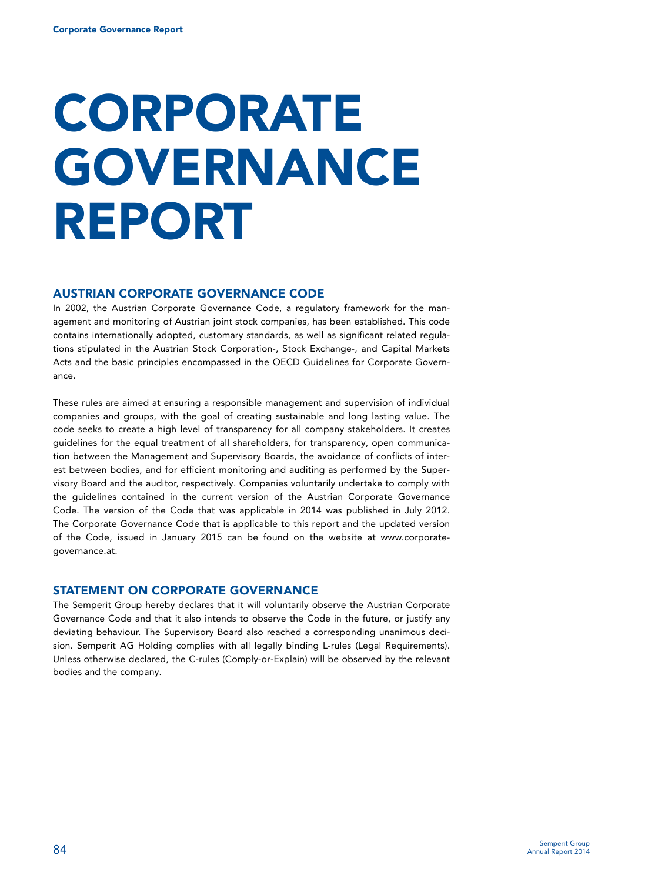# **CORPORATE GOVERNANCE REPORT**

# **AUSTRIAN CORPORATE GOVERNANCE CODE**

In 2002, the Austrian Corporate Governance Code, a regulatory framework for the management and monitoring of Austrian joint stock companies, has been established. This code contains internationally adopted, customary standards, as well as significant related regulations stipulated in the Austrian Stock Corporation-, Stock Exchange-, and Capital Markets Acts and the basic principles encompassed in the OECD Guidelines for Corporate Governance.

These rules are aimed at ensuring a responsible management and supervision of individual companies and groups, with the goal of creating sustainable and long lasting value. The code seeks to create a high level of transparency for all company stakeholders. It creates guidelines for the equal treatment of all shareholders, for transparency, open communication between the Management and Supervisory Boards, the avoidance of conflicts of interest between bodies, and for efficient monitoring and auditing as performed by the Supervisory Board and the auditor, respectively. Companies voluntarily undertake to comply with the guidelines contained in the current version of the Austrian Corporate Governance Code. The version of the Code that was applicable in 2014 was published in July 2012. The Corporate Governance Code that is applicable to this report and the updated version of the Code, issued in January 2015 can be found on the website at www.corporategovernance.at.

## **STATEMENT ON CORPORATE GOVERNANCE**

The Semperit Group hereby declares that it will voluntarily observe the Austrian Corporate Governance Code and that it also intends to observe the Code in the future, or justify any deviating behaviour. The Supervisory Board also reached a corresponding unanimous decision. Semperit AG Holding complies with all legally binding L-rules (Legal Requirements). Unless otherwise declared, the C-rules (Comply-or-Explain) will be observed by the relevant bodies and the company.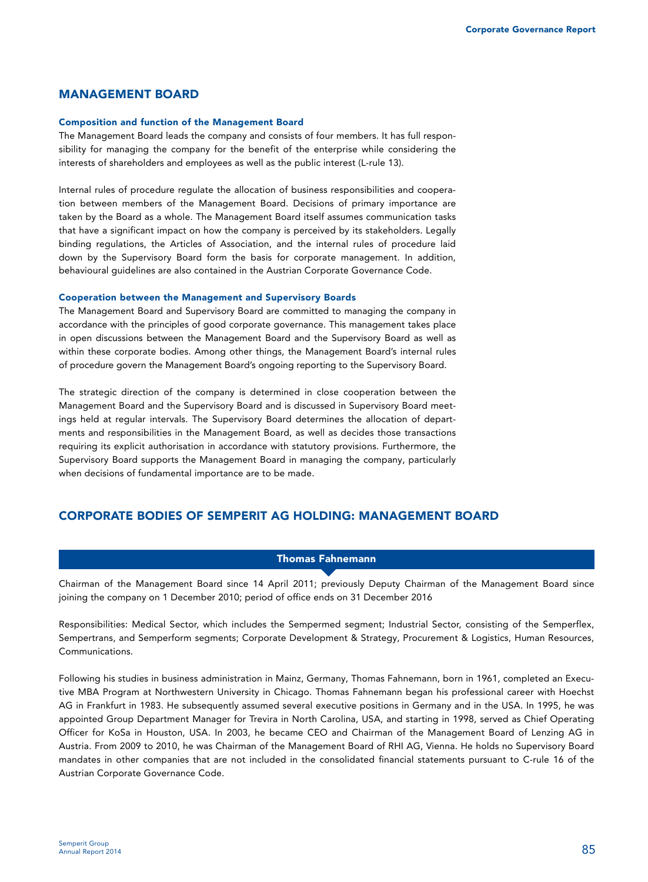# **MANAGEMENT BOARD**

#### **Composition and function of the Management Board**

The Management Board leads the company and consists of four members. It has full responsibility for managing the company for the benefit of the enterprise while considering the interests of shareholders and employees as well as the public interest (L-rule 13).

Internal rules of procedure regulate the allocation of business responsibilities and cooperation between members of the Management Board. Decisions of primary importance are taken by the Board as a whole. The Management Board itself assumes communication tasks that have a significant impact on how the company is perceived by its stakeholders. Legally binding regulations, the Articles of Association, and the internal rules of procedure laid down by the Supervisory Board form the basis for corporate management. In addition, behavioural guidelines are also contained in the Austrian Corporate Governance Code.

#### **Cooperation between the Management and Supervisory Boards**

The Management Board and Supervisory Board are committed to managing the company in accordance with the principles of good corporate governance. This management takes place in open discussions between the Management Board and the Supervisory Board as well as within these corporate bodies. Among other things, the Management Board's internal rules of procedure govern the Management Board's ongoing reporting to the Supervisory Board.

The strategic direction of the company is determined in close cooperation between the Management Board and the Supervisory Board and is discussed in Supervisory Board meetings held at regular intervals. The Supervisory Board determines the allocation of departments and responsibilities in the Management Board, as well as decides those transactions requiring its explicit authorisation in accordance with statutory provisions. Furthermore, the Supervisory Board supports the Management Board in managing the company, particularly when decisions of fundamental importance are to be made.

# **CORPORATE BODIES OF SEMPERIT AG HOLDING: MANAGEMENT BOARD**

# **Thomas Fahnemann**

Chairman of the Management Board since 14 April 2011; previously Deputy Chairman of the Management Board since joining the company on 1 December 2010; period of office ends on 31 December 2016

Responsibilities: Medical Sector, which includes the Sempermed segment; Industrial Sector, consisting of the Semperflex, Sempertrans, and Semperform segments; Corporate Development & Strategy, Procurement & Logistics, Human Resources, Communications.

Following his studies in business administration in Mainz, Germany, Thomas Fahnemann, born in 1961, completed an Executive MBA Program at Northwestern University in Chicago. Thomas Fahnemann began his professional career with Hoechst AG in Frankfurt in 1983. He subsequently assumed several executive positions in Germany and in the USA. In 1995, he was appointed Group Department Manager for Trevira in North Carolina, USA, and starting in 1998, served as Chief Operating Officer for KoSa in Houston, USA. In 2003, he became CEO and Chairman of the Management Board of Lenzing AG in Austria. From 2009 to 2010, he was Chairman of the Management Board of RHI AG, Vienna. He holds no Supervisory Board mandates in other companies that are not included in the consolidated financial statements pursuant to C-rule 16 of the Austrian Corporate Governance Code.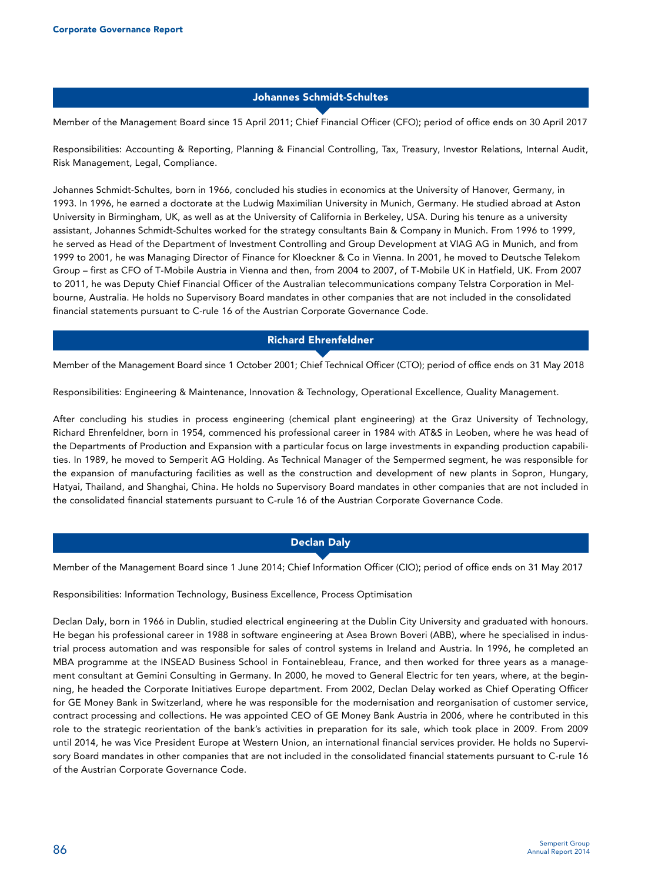## **Johannes Schmidt-Schultes**

Member of the Management Board since 15 April 2011; Chief Financial Officer (CFO); period of office ends on 30 April 2017

Responsibilities: Accounting & Reporting, Planning & Financial Controlling, Tax, Treasury, Investor Relations, Internal Audit, Risk Management, Legal, Compliance.

Johannes Schmidt-Schultes, born in 1966, concluded his studies in economics at the University of Hanover, Germany, in 1993. In 1996, he earned a doctorate at the Ludwig Maximilian University in Munich, Germany. He studied abroad at Aston University in Birmingham, UK, as well as at the University of California in Berkeley, USA. During his tenure as a university assistant, Johannes Schmidt-Schultes worked for the strategy consultants Bain & Company in Munich. From 1996 to 1999, he served as Head of the Department of Investment Controlling and Group Development at VIAG AG in Munich, and from 1999 to 2001, he was Managing Director of Finance for Kloeckner & Co in Vienna. In 2001, he moved to Deutsche Telekom Group – first as CFO of T-Mobile Austria in Vienna and then, from 2004 to 2007, of T-Mobile UK in Hatfield, UK. From 2007 to 2011, he was Deputy Chief Financial Officer of the Australian telecommunications company Telstra Corporation in Melbourne, Australia. He holds no Supervisory Board mandates in other companies that are not included in the consolidated financial statements pursuant to C-rule 16 of the Austrian Corporate Governance Code.

# **Richard Ehrenfeldner**

Member of the Management Board since 1 October 2001; Chief Technical Officer (CTO); period of office ends on 31 May 2018

Responsibilities: Engineering & Maintenance, Innovation & Technology, Operational Excellence, Quality Management.

After concluding his studies in process engineering (chemical plant engineering) at the Graz University of Technology, Richard Ehrenfeldner, born in 1954, commenced his professional career in 1984 with AT&S in Leoben, where he was head of the Departments of Production and Expansion with a particular focus on large investments in expanding production capabilities. In 1989, he moved to Semperit AG Holding. As Technical Manager of the Sempermed segment, he was responsible for the expansion of manufacturing facilities as well as the construction and development of new plants in Sopron, Hungary, Hatyai, Thailand, and Shanghai, China. He holds no Supervisory Board mandates in other companies that are not included in the consolidated financial statements pursuant to C-rule 16 of the Austrian Corporate Governance Code.

# **Declan Daly**

Member of the Management Board since 1 June 2014; Chief Information Officer (CIO); period of office ends on 31 May 2017

Responsibilities: Information Technology, Business Excellence, Process Optimisation

Declan Daly, born in 1966 in Dublin, studied electrical engineering at the Dublin City University and graduated with honours. He began his professional career in 1988 in software engineering at Asea Brown Boveri (ABB), where he specialised in industrial process automation and was responsible for sales of control systems in Ireland and Austria. In 1996, he completed an MBA programme at the INSEAD Business School in Fontainebleau, France, and then worked for three years as a management consultant at Gemini Consulting in Germany. In 2000, he moved to General Electric for ten years, where, at the beginning, he headed the Corporate Initiatives Europe department. From 2002, Declan Delay worked as Chief Operating Officer for GE Money Bank in Switzerland, where he was responsible for the modernisation and reorganisation of customer service, contract processing and collections. He was appointed CEO of GE Money Bank Austria in 2006, where he contributed in this role to the strategic reorientation of the bank's activities in preparation for its sale, which took place in 2009. From 2009 until 2014, he was Vice President Europe at Western Union, an international financial services provider. He holds no Supervisory Board mandates in other companies that are not included in the consolidated financial statements pursuant to C-rule 16 of the Austrian Corporate Governance Code.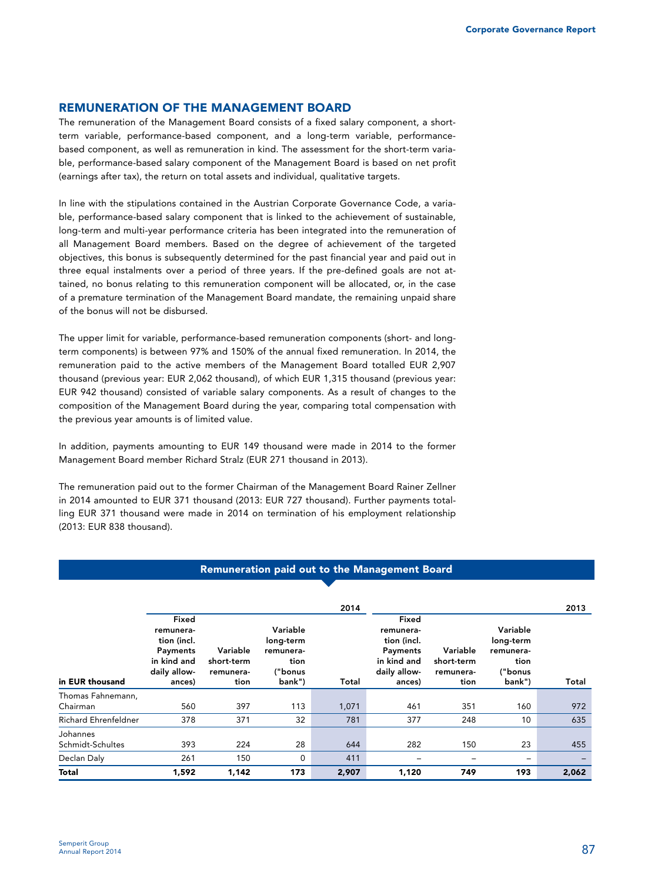# **REMUNERATION OF THE MANAGEMENT BOARD**

The remuneration of the Management Board consists of a fixed salary component, a shortterm variable, performance-based component, and a long-term variable, performancebased component, as well as remuneration in kind. The assessment for the short-term variable, performance-based salary component of the Management Board is based on net profit (earnings after tax), the return on total assets and individual, qualitative targets.

In line with the stipulations contained in the Austrian Corporate Governance Code, a variable, performance-based salary component that is linked to the achievement of sustainable, long-term and multi-year performance criteria has been integrated into the remuneration of all Management Board members. Based on the degree of achievement of the targeted objectives, this bonus is subsequently determined for the past financial year and paid out in three equal instalments over a period of three years. If the pre-defined goals are not attained, no bonus relating to this remuneration component will be allocated, or, in the case of a premature termination of the Management Board mandate, the remaining unpaid share of the bonus will not be disbursed.

The upper limit for variable, performance-based remuneration components (short- and longterm components) is between 97% and 150% of the annual fixed remuneration. In 2014, the remuneration paid to the active members of the Management Board totalled EUR 2,907 thousand (previous year: EUR 2,062 thousand), of which EUR 1,315 thousand (previous year: EUR 942 thousand) consisted of variable salary components. As a result of changes to the composition of the Management Board during the year, comparing total compensation with the previous year amounts is of limited value.

In addition, payments amounting to EUR 149 thousand were made in 2014 to the former Management Board member Richard Stralz (EUR 271 thousand in 2013).

The remuneration paid out to the former Chairman of the Management Board Rainer Zellner in 2014 amounted to EUR 371 thousand (2013: EUR 727 thousand). Further payments totalling EUR 371 thousand were made in 2014 on termination of his employment relationship (2013: EUR 838 thousand).

# **Remuneration paid out to the Management Board**

|                              |                                                                                        |                                             |                                                                 | 2014  |                                                                                        |                                             |                                                                 | 2013  |
|------------------------------|----------------------------------------------------------------------------------------|---------------------------------------------|-----------------------------------------------------------------|-------|----------------------------------------------------------------------------------------|---------------------------------------------|-----------------------------------------------------------------|-------|
| in EUR thousand              | Fixed<br>remunera-<br>tion (incl.<br>Payments<br>in kind and<br>daily allow-<br>ances) | Variable<br>short-term<br>remunera-<br>tion | Variable<br>long-term<br>remunera-<br>tion<br>("bonus<br>bank") | Total | Fixed<br>remunera-<br>tion (incl.<br>Payments<br>in kind and<br>daily allow-<br>ances) | Variable<br>short-term<br>remunera-<br>tion | Variable<br>long-term<br>remunera-<br>tion<br>("bonus<br>bank") | Total |
| Thomas Fahnemann,            |                                                                                        |                                             |                                                                 |       |                                                                                        |                                             |                                                                 |       |
| Chairman                     | 560                                                                                    | 397                                         | 113                                                             | 1,071 | 461                                                                                    | 351                                         | 160                                                             | 972   |
| <b>Richard Ehrenfeldner</b>  | 378                                                                                    | 371                                         | 32                                                              | 781   | 377                                                                                    | 248                                         | 10                                                              | 635   |
| Johannes<br>Schmidt-Schultes | 393                                                                                    | 224                                         | 28                                                              | 644   | 282                                                                                    | 150                                         | 23                                                              | 455   |
| Declan Daly                  | 261                                                                                    | 150                                         | 0                                                               | 411   | -                                                                                      |                                             | -                                                               |       |
| Total                        | 1,592                                                                                  | 1,142                                       | 173                                                             | 2,907 | 1,120                                                                                  | 749                                         | 193                                                             | 2,062 |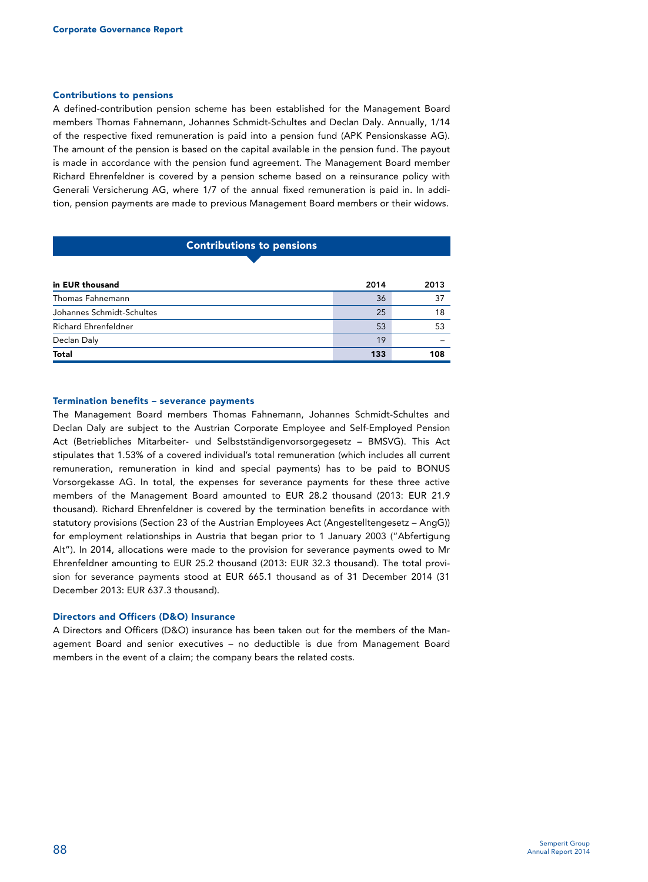### **Contributions to pensions**

A defined-contribution pension scheme has been established for the Management Board members Thomas Fahnemann, Johannes Schmidt-Schultes and Declan Daly. Annually, 1/14 of the respective fixed remuneration is paid into a pension fund (APK Pensionskasse AG). The amount of the pension is based on the capital available in the pension fund. The payout is made in accordance with the pension fund agreement. The Management Board member Richard Ehrenfeldner is covered by a pension scheme based on a reinsurance policy with Generali Versicherung AG, where 1/7 of the annual fixed remuneration is paid in. In addition, pension payments are made to previous Management Board members or their widows.

# **Contributions to pensions**

| in EUR thousand             | 2014 | 2013 |
|-----------------------------|------|------|
| Thomas Fahnemann            | 36   | 37   |
| Johannes Schmidt-Schultes   | 25   | 18   |
| <b>Richard Ehrenfeldner</b> | 53   | 53   |
| Declan Daly                 | 19   |      |
| <b>Total</b>                | 133  | 108  |

#### **Termination benefits – severance payments**

The Management Board members Thomas Fahnemann, Johannes Schmidt-Schultes and Declan Daly are subject to the Austrian Corporate Employee and Self-Employed Pension Act (Betriebliches Mitarbeiter- und Selbstständigenvorsorgegesetz – BMSVG). This Act stipulates that 1.53% of a covered individual's total remuneration (which includes all current remuneration, remuneration in kind and special payments) has to be paid to BONUS Vorsorgekasse AG. In total, the expenses for severance payments for these three active members of the Management Board amounted to EUR 28.2 thousand (2013: EUR 21.9 thousand). Richard Ehrenfeldner is covered by the termination benefits in accordance with statutory provisions (Section 23 of the Austrian Employees Act (Angestelltengesetz – AngG)) for employment relationships in Austria that began prior to 1 January 2003 ("Abfertigung Alt"). In 2014, allocations were made to the provision for severance payments owed to Mr Ehrenfeldner amounting to EUR 25.2 thousand (2013: EUR 32.3 thousand). The total provision for severance payments stood at EUR 665.1 thousand as of 31 December 2014 (31 December 2013: EUR 637.3 thousand).

#### **Directors and Officers (D&O) Insurance**

A Directors and Officers (D&O) insurance has been taken out for the members of the Management Board and senior executives – no deductible is due from Management Board members in the event of a claim; the company bears the related costs.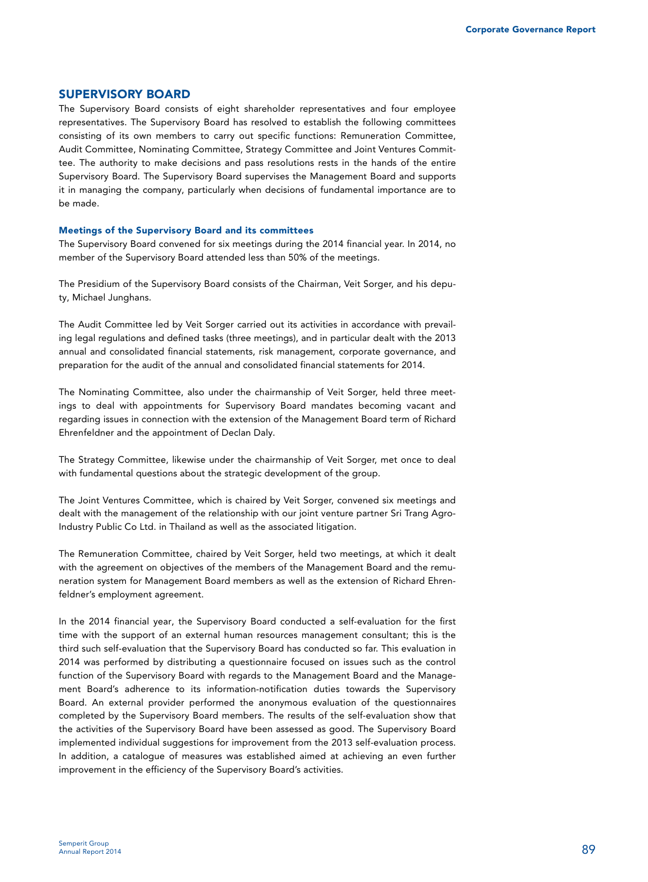# **SUPERVISORY BOARD**

The Supervisory Board consists of eight shareholder representatives and four employee representatives. The Supervisory Board has resolved to establish the following committees consisting of its own members to carry out specific functions: Remuneration Committee, Audit Committee, Nominating Committee, Strategy Committee and Joint Ventures Committee. The authority to make decisions and pass resolutions rests in the hands of the entire Supervisory Board. The Supervisory Board supervises the Management Board and supports it in managing the company, particularly when decisions of fundamental importance are to be made.

#### **Meetings of the Supervisory Board and its committees**

The Supervisory Board convened for six meetings during the 2014 financial year. In 2014, no member of the Supervisory Board attended less than 50% of the meetings.

The Presidium of the Supervisory Board consists of the Chairman, Veit Sorger, and his deputy, Michael Junghans.

The Audit Committee led by Veit Sorger carried out its activities in accordance with prevailing legal regulations and defined tasks (three meetings), and in particular dealt with the 2013 annual and consolidated financial statements, risk management, corporate governance, and preparation for the audit of the annual and consolidated financial statements for 2014.

The Nominating Committee, also under the chairmanship of Veit Sorger, held three meetings to deal with appointments for Supervisory Board mandates becoming vacant and regarding issues in connection with the extension of the Management Board term of Richard Ehrenfeldner and the appointment of Declan Daly.

The Strategy Committee, likewise under the chairmanship of Veit Sorger, met once to deal with fundamental questions about the strategic development of the group.

The Joint Ventures Committee, which is chaired by Veit Sorger, convened six meetings and dealt with the management of the relationship with our joint venture partner Sri Trang Agro-Industry Public Co Ltd. in Thailand as well as the associated litigation.

The Remuneration Committee, chaired by Veit Sorger, held two meetings, at which it dealt with the agreement on objectives of the members of the Management Board and the remuneration system for Management Board members as well as the extension of Richard Ehrenfeldner's employment agreement.

In the 2014 financial year, the Supervisory Board conducted a self-evaluation for the first time with the support of an external human resources management consultant; this is the third such self-evaluation that the Supervisory Board has conducted so far. This evaluation in 2014 was performed by distributing a questionnaire focused on issues such as the control function of the Supervisory Board with regards to the Management Board and the Management Board's adherence to its information-notification duties towards the Supervisory Board. An external provider performed the anonymous evaluation of the questionnaires completed by the Supervisory Board members. The results of the self-evaluation show that the activities of the Supervisory Board have been assessed as good. The Supervisory Board implemented individual suggestions for improvement from the 2013 self-evaluation process. In addition, a catalogue of measures was established aimed at achieving an even further improvement in the efficiency of the Supervisory Board's activities.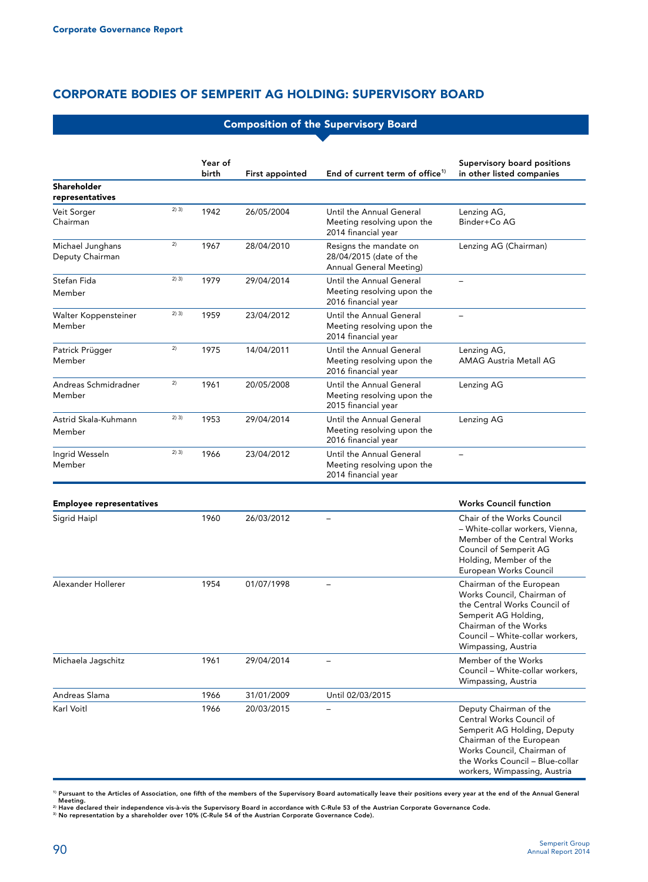# **CORPORATE BODIES OF SEMPERIT AG HOLDING: SUPERVISORY BOARD**

|                                     | <b>Composition of the Supervisory Board</b> |                  |                        |                                                                                     |                                                                                                                                                                                                                |
|-------------------------------------|---------------------------------------------|------------------|------------------------|-------------------------------------------------------------------------------------|----------------------------------------------------------------------------------------------------------------------------------------------------------------------------------------------------------------|
|                                     |                                             | Year of<br>birth | <b>First appointed</b> | End of current term of office <sup>1)</sup>                                         | Supervisory board positions<br>in other listed companies                                                                                                                                                       |
| Shareholder<br>representatives      |                                             |                  |                        |                                                                                     |                                                                                                                                                                                                                |
| Veit Sorger<br>Chairman             | 2) 3)                                       | 1942             | 26/05/2004             | Until the Annual General<br>Meeting resolving upon the<br>2014 financial year       | Lenzing AG,<br>Binder+Co AG                                                                                                                                                                                    |
| Michael Junghans<br>Deputy Chairman | 2)                                          | 1967             | 28/04/2010             | Resigns the mandate on<br>28/04/2015 (date of the<br><b>Annual General Meeting)</b> | Lenzing AG (Chairman)                                                                                                                                                                                          |
| Stefan Fida<br>Member               | 2) 3)                                       | 1979             | 29/04/2014             | Until the Annual General<br>Meeting resolving upon the<br>2016 financial year       |                                                                                                                                                                                                                |
| Walter Koppensteiner<br>Member      | 2) 3)                                       | 1959             | 23/04/2012             | Until the Annual General<br>Meeting resolving upon the<br>2014 financial year       | ÷                                                                                                                                                                                                              |
| Patrick Prügger<br>Member           | 2)                                          | 1975             | 14/04/2011             | Until the Annual General<br>Meeting resolving upon the<br>2016 financial year       | Lenzing AG,<br><b>AMAG Austria Metall AG</b>                                                                                                                                                                   |
| Andreas Schmidradner<br>Member      | 2)                                          | 1961             | 20/05/2008             | Until the Annual General<br>Meeting resolving upon the<br>2015 financial year       | Lenzing AG                                                                                                                                                                                                     |
| Astrid Skala-Kuhmann<br>Member      | 2) 3)                                       | 1953             | 29/04/2014             | Until the Annual General<br>Meeting resolving upon the<br>2016 financial year       | Lenzing AG                                                                                                                                                                                                     |
| Ingrid Wesseln<br>Member            | 2) 3)                                       | 1966             | 23/04/2012             | Until the Annual General<br>Meeting resolving upon the<br>2014 financial year       |                                                                                                                                                                                                                |
| <b>Employee representatives</b>     |                                             |                  |                        |                                                                                     | <b>Works Council function</b>                                                                                                                                                                                  |
| Sigrid Haipl                        |                                             | 1960             | 26/03/2012             |                                                                                     | Chair of the Works Council<br>- White-collar workers, Vienna,<br>Member of the Central Works<br>Council of Semperit AG<br>Holding, Member of the<br>European Works Council                                     |
| Alexander Hollerer                  |                                             | 1954             | 01/07/1998             |                                                                                     | Chairman of the European<br>Works Council, Chairman of<br>the Central Works Council of<br>Semperit AG Holding,<br>Chairman of the Works<br>Council - White-collar workers,<br>Wimpassing, Austria              |
| Michaela Jagschitz                  |                                             | 1961             | 29/04/2014             |                                                                                     | Member of the Works<br>Council - White-collar workers,<br>Wimpassing, Austria                                                                                                                                  |
| Andreas Slama                       |                                             | 1966             | 31/01/2009             | Until 02/03/2015                                                                    |                                                                                                                                                                                                                |
| Karl Voitl                          |                                             | 1966             | 20/03/2015             |                                                                                     | Deputy Chairman of the<br>Central Works Council of<br>Semperit AG Holding, Deputy<br>Chairman of the European<br>Works Council, Chairman of<br>the Works Council - Blue-collar<br>workers, Wimpassing, Austria |

<sup>1)</sup> Pursuant to the Articles of Association, one fifth of the members of the Supervisory Board automatically leave their positions every year at the end of the Annual General<br>- Meeting.<br><sup>2)</sup> Have declared their independen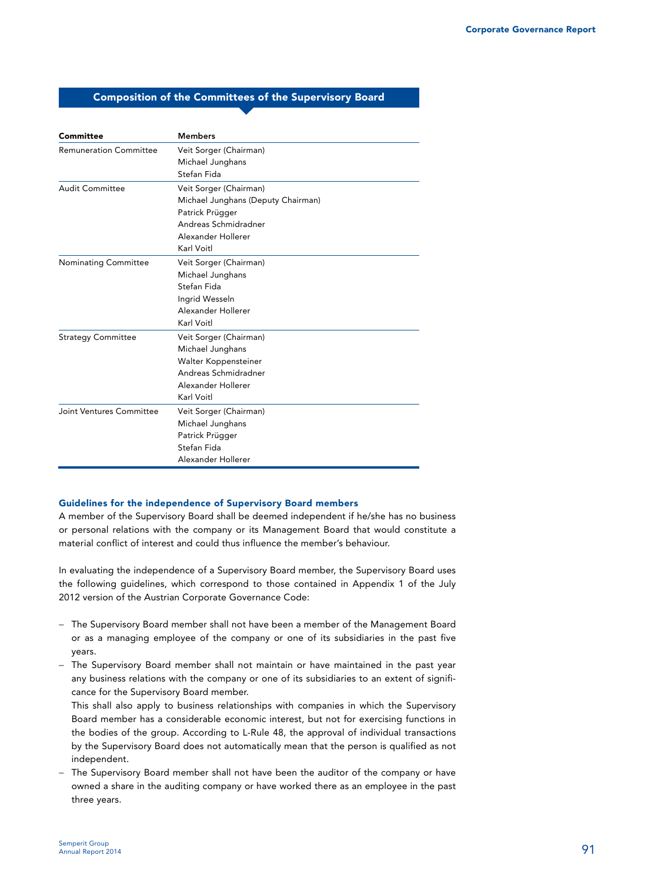# **Composition of the Committees of the Supervisory Board**

| Committee                     | <b>Members</b>                     |
|-------------------------------|------------------------------------|
| <b>Remuneration Committee</b> | Veit Sorger (Chairman)             |
|                               | Michael Junghans                   |
|                               | Stefan Fida                        |
| <b>Audit Committee</b>        | Veit Sorger (Chairman)             |
|                               | Michael Junghans (Deputy Chairman) |
|                               | Patrick Prügger                    |
|                               | Andreas Schmidradner               |
|                               | Alexander Hollerer                 |
|                               | Karl Voitl                         |
| <b>Nominating Committee</b>   | Veit Sorger (Chairman)             |
|                               | Michael Junghans                   |
|                               | Stefan Fida                        |
|                               | Ingrid Wesseln                     |
|                               | Alexander Hollerer                 |
|                               | Karl Voitl                         |
| <b>Strategy Committee</b>     | Veit Sorger (Chairman)             |
|                               | Michael Junghans                   |
|                               | Walter Koppensteiner               |
|                               | Andreas Schmidradner               |
|                               | Alexander Hollerer                 |
|                               | Karl Voitl                         |
| Joint Ventures Committee      | Veit Sorger (Chairman)             |
|                               | Michael Junghans                   |
|                               | Patrick Prügger                    |
|                               | Stefan Fida                        |
|                               | Alexander Hollerer                 |

## **Guidelines for the independence of Supervisory Board members**

A member of the Supervisory Board shall be deemed independent if he/she has no business or personal relations with the company or its Management Board that would constitute a material conflict of interest and could thus influence the member's behaviour.

In evaluating the independence of a Supervisory Board member, the Supervisory Board uses the following guidelines, which correspond to those contained in Appendix 1 of the July 2012 version of the Austrian Corporate Governance Code:

- − The Supervisory Board member shall not have been a member of the Management Board or as a managing employee of the company or one of its subsidiaries in the past five years.
- − The Supervisory Board member shall not maintain or have maintained in the past year any business relations with the company or one of its subsidiaries to an extent of significance for the Supervisory Board member.

This shall also apply to business relationships with companies in which the Supervisory Board member has a considerable economic interest, but not for exercising functions in the bodies of the group. According to L-Rule 48, the approval of individual transactions by the Supervisory Board does not automatically mean that the person is qualified as not independent.

− The Supervisory Board member shall not have been the auditor of the company or have owned a share in the auditing company or have worked there as an employee in the past three years.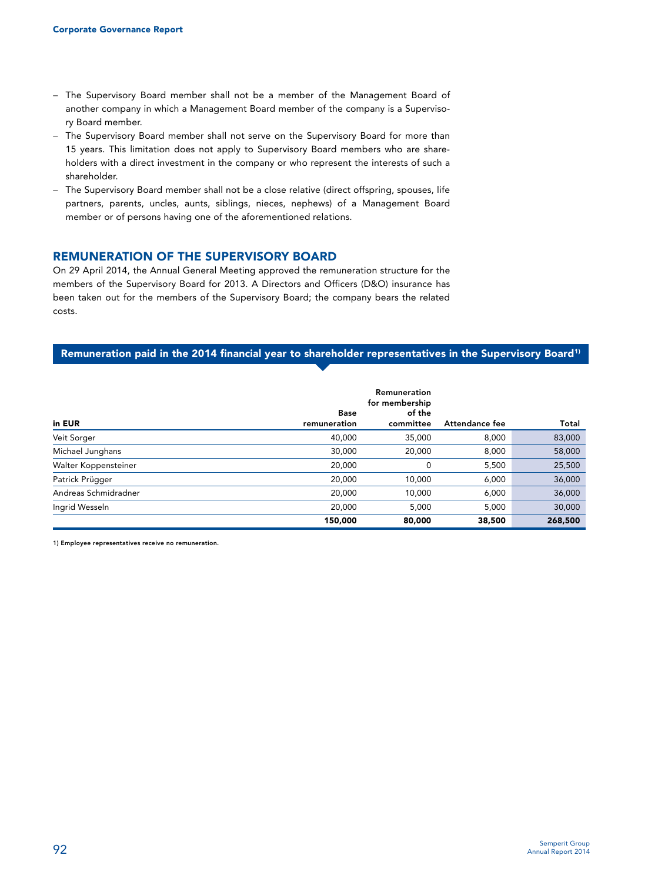- − The Supervisory Board member shall not be a member of the Management Board of another company in which a Management Board member of the company is a Supervisory Board member.
- − The Supervisory Board member shall not serve on the Supervisory Board for more than 15 years. This limitation does not apply to Supervisory Board members who are shareholders with a direct investment in the company or who represent the interests of such a shareholder.
- − The Supervisory Board member shall not be a close relative (direct offspring, spouses, life partners, parents, uncles, aunts, siblings, nieces, nephews) of a Management Board member or of persons having one of the aforementioned relations.

# **REMUNERATION OF THE SUPERVISORY BOARD**

On 29 April 2014, the Annual General Meeting approved the remuneration structure for the members of the Supervisory Board for 2013. A Directors and Officers (D&O) insurance has been taken out for the members of the Supervisory Board; the company bears the related costs.

# Remuneration paid in the 2014 financial year to shareholder representatives in the Supervisory Board<sup>1)</sup>

| in EUR               | <b>Base</b><br>remuneration | Remuneration<br>for membership<br>of the<br>committee | Attendance fee | Total   |
|----------------------|-----------------------------|-------------------------------------------------------|----------------|---------|
| Veit Sorger          | 40,000                      | 35,000                                                | 8,000          | 83,000  |
| Michael Junghans     | 30,000                      | 20,000                                                | 8,000          | 58,000  |
| Walter Koppensteiner | 20,000                      | 0                                                     | 5,500          | 25,500  |
| Patrick Prügger      | 20,000                      | 10,000                                                | 6,000          | 36,000  |
| Andreas Schmidradner | 20,000                      | 10,000                                                | 6,000          | 36,000  |
| Ingrid Wesseln       | 20,000                      | 5,000                                                 | 5,000          | 30,000  |
|                      | 150,000                     | 80,000                                                | 38,500         | 268,500 |

**1) Employee representatives receive no remuneration.**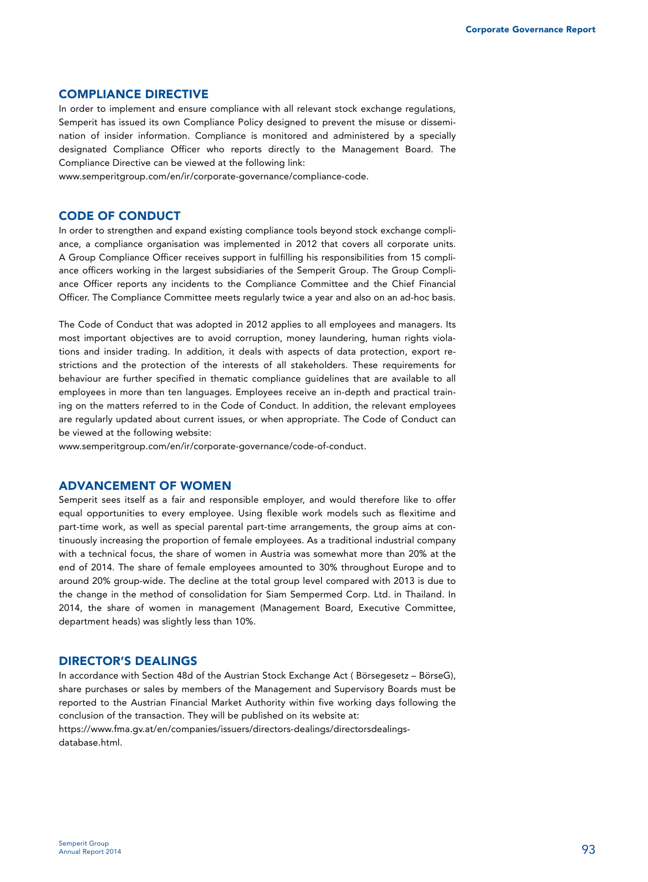# **COMPLIANCE DIRECTIVE**

In order to implement and ensure compliance with all relevant stock exchange regulations, Semperit has issued its own Compliance Policy designed to prevent the misuse or dissemination of insider information. Compliance is monitored and administered by a specially designated Compliance Officer who reports directly to the Management Board. The Compliance Directive can be viewed at the following link:

www.semperitgroup.com/en/ir/corporate-governance/compliance-code.

## **CODE OF CONDUCT**

In order to strengthen and expand existing compliance tools beyond stock exchange compliance, a compliance organisation was implemented in 2012 that covers all corporate units. A Group Compliance Officer receives support in fulfilling his responsibilities from 15 compliance officers working in the largest subsidiaries of the Semperit Group. The Group Compliance Officer reports any incidents to the Compliance Committee and the Chief Financial Officer. The Compliance Committee meets regularly twice a year and also on an ad-hoc basis.

The Code of Conduct that was adopted in 2012 applies to all employees and managers. Its most important objectives are to avoid corruption, money laundering, human rights violations and insider trading. In addition, it deals with aspects of data protection, export restrictions and the protection of the interests of all stakeholders. These requirements for behaviour are further specified in thematic compliance guidelines that are available to all employees in more than ten languages. Employees receive an in-depth and practical training on the matters referred to in the Code of Conduct. In addition, the relevant employees are regularly updated about current issues, or when appropriate. The Code of Conduct can be viewed at the following website:

www.semperitgroup.com/en/ir/corporate-governance/code-of-conduct.

# **ADVANCEMENT OF WOMEN**

Semperit sees itself as a fair and responsible employer, and would therefore like to offer equal opportunities to every employee. Using flexible work models such as flexitime and part-time work, as well as special parental part-time arrangements, the group aims at continuously increasing the proportion of female employees. As a traditional industrial company with a technical focus, the share of women in Austria was somewhat more than 20% at the end of 2014. The share of female employees amounted to 30% throughout Europe and to around 20% group-wide. The decline at the total group level compared with 2013 is due to the change in the method of consolidation for Siam Sempermed Corp. Ltd. in Thailand. In 2014, the share of women in management (Management Board, Executive Committee, department heads) was slightly less than 10%.

## **DIRECTOR'S DEALINGS**

In accordance with Section 48d of the Austrian Stock Exchange Act ( Börsegesetz – BörseG), share purchases or sales by members of the Management and Supervisory Boards must be reported to the Austrian Financial Market Authority within five working days following the conclusion of the transaction. They will be published on its website at:

https://www.fma.gv.at/en/companies/issuers/directors-dealings/directorsdealingsdatabase.html.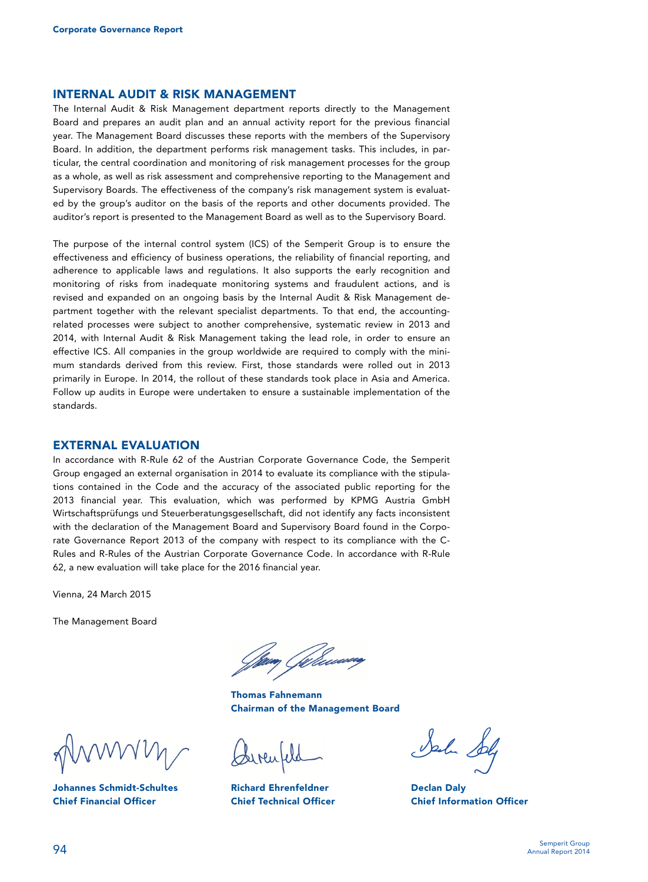# **INTERNAL AUDIT & RISK MANAGEMENT**

The Internal Audit & Risk Management department reports directly to the Management Board and prepares an audit plan and an annual activity report for the previous financial year. The Management Board discusses these reports with the members of the Supervisory Board. In addition, the department performs risk management tasks. This includes, in particular, the central coordination and monitoring of risk management processes for the group as a whole, as well as risk assessment and comprehensive reporting to the Management and Supervisory Boards. The effectiveness of the company's risk management system is evaluated by the group's auditor on the basis of the reports and other documents provided. The auditor's report is presented to the Management Board as well as to the Supervisory Board.

The purpose of the internal control system (ICS) of the Semperit Group is to ensure the effectiveness and efficiency of business operations, the reliability of financial reporting, and adherence to applicable laws and regulations. It also supports the early recognition and monitoring of risks from inadequate monitoring systems and fraudulent actions, and is revised and expanded on an ongoing basis by the Internal Audit & Risk Management department together with the relevant specialist departments. To that end, the accountingrelated processes were subject to another comprehensive, systematic review in 2013 and 2014, with Internal Audit & Risk Management taking the lead role, in order to ensure an effective ICS. All companies in the group worldwide are required to comply with the minimum standards derived from this review. First, those standards were rolled out in 2013 primarily in Europe. In 2014, the rollout of these standards took place in Asia and America. Follow up audits in Europe were undertaken to ensure a sustainable implementation of the standards.

#### **EXTERNAL EVALUATION**

In accordance with R-Rule 62 of the Austrian Corporate Governance Code, the Semperit Group engaged an external organisation in 2014 to evaluate its compliance with the stipulations contained in the Code and the accuracy of the associated public reporting for the 2013 financial year. This evaluation, which was performed by KPMG Austria GmbH Wirtschaftsprüfungs und Steuerberatungsgesellschaft, did not identify any facts inconsistent with the declaration of the Management Board and Supervisory Board found in the Corporate Governance Report 2013 of the company with respect to its compliance with the C-Rules and R-Rules of the Austrian Corporate Governance Code. In accordance with R-Rule 62, a new evaluation will take place for the 2016 financial year.

Vienna, 24 March 2015

The Management Board

 **Thomas Fahnemann Chairman of the Management Board** 

**Johannes Schmidt-Schultes Chief Financial Officer** 

**Richard Ehrenfeldner Chief Technical Officer** 

**Declan Daly Chief Information Officer**